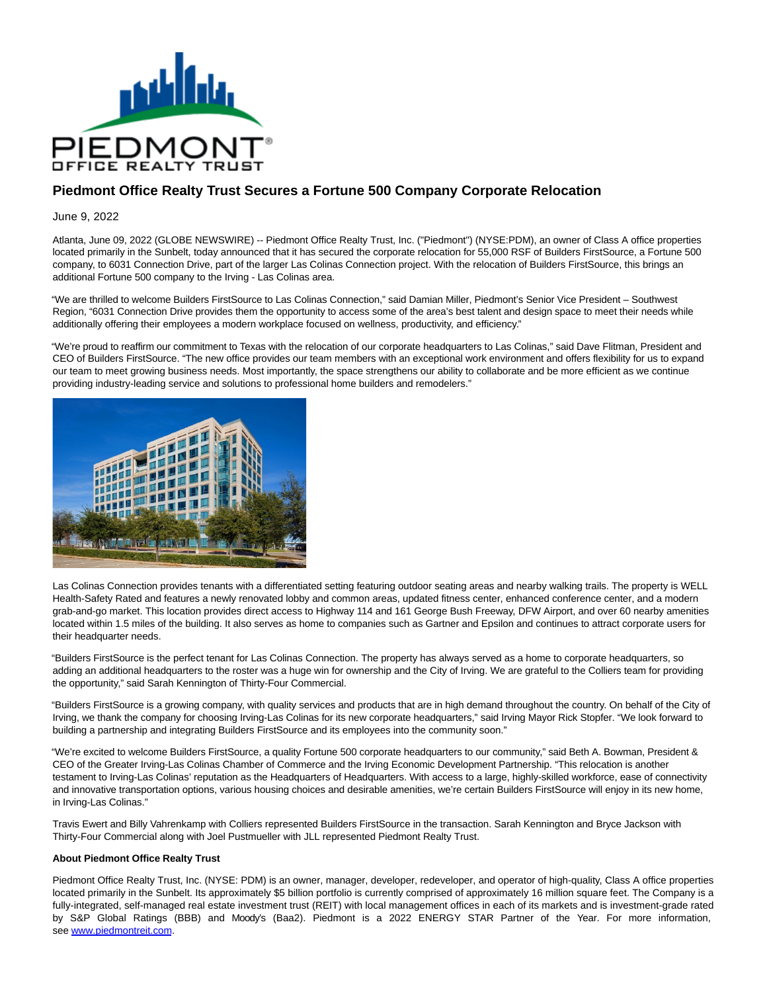

# **Piedmont Office Realty Trust Secures a Fortune 500 Company Corporate Relocation**

## June 9, 2022

Atlanta, June 09, 2022 (GLOBE NEWSWIRE) -- Piedmont Office Realty Trust, Inc. ("Piedmont") (NYSE:PDM), an owner of Class A office properties located primarily in the Sunbelt, today announced that it has secured the corporate relocation for 55,000 RSF of Builders FirstSource, a Fortune 500 company, to 6031 Connection Drive, part of the larger Las Colinas Connection project. With the relocation of Builders FirstSource, this brings an additional Fortune 500 company to the Irving - Las Colinas area.

"We are thrilled to welcome Builders FirstSource to Las Colinas Connection," said Damian Miller, Piedmont's Senior Vice President – Southwest Region, "6031 Connection Drive provides them the opportunity to access some of the area's best talent and design space to meet their needs while additionally offering their employees a modern workplace focused on wellness, productivity, and efficiency."

"We're proud to reaffirm our commitment to Texas with the relocation of our corporate headquarters to Las Colinas," said Dave Flitman, President and CEO of Builders FirstSource. "The new office provides our team members with an exceptional work environment and offers flexibility for us to expand our team to meet growing business needs. Most importantly, the space strengthens our ability to collaborate and be more efficient as we continue providing industry-leading service and solutions to professional home builders and remodelers."



Las Colinas Connection provides tenants with a differentiated setting featuring outdoor seating areas and nearby walking trails. The property is WELL Health-Safety Rated and features a newly renovated lobby and common areas, updated fitness center, enhanced conference center, and a modern grab-and-go market. This location provides direct access to Highway 114 and 161 George Bush Freeway, DFW Airport, and over 60 nearby amenities located within 1.5 miles of the building. It also serves as home to companies such as Gartner and Epsilon and continues to attract corporate users for their headquarter needs.

"Builders FirstSource is the perfect tenant for Las Colinas Connection. The property has always served as a home to corporate headquarters, so adding an additional headquarters to the roster was a huge win for ownership and the City of Irving. We are grateful to the Colliers team for providing the opportunity," said Sarah Kennington of Thirty-Four Commercial.

"Builders FirstSource is a growing company, with quality services and products that are in high demand throughout the country. On behalf of the City of Irving, we thank the company for choosing Irving-Las Colinas for its new corporate headquarters," said Irving Mayor Rick Stopfer. "We look forward to building a partnership and integrating Builders FirstSource and its employees into the community soon."

"We're excited to welcome Builders FirstSource, a quality Fortune 500 corporate headquarters to our community," said Beth A. Bowman, President & CEO of the Greater Irving-Las Colinas Chamber of Commerce and the Irving Economic Development Partnership. "This relocation is another testament to Irving-Las Colinas' reputation as the Headquarters of Headquarters. With access to a large, highly-skilled workforce, ease of connectivity and innovative transportation options, various housing choices and desirable amenities, we're certain Builders FirstSource will enjoy in its new home, in Irving-Las Colinas."

Travis Ewert and Billy Vahrenkamp with Colliers represented Builders FirstSource in the transaction. Sarah Kennington and Bryce Jackson with Thirty-Four Commercial along with Joel Pustmueller with JLL represented Piedmont Realty Trust.

### **About Piedmont Office Realty Trust**

Piedmont Office Realty Trust, Inc. (NYSE: PDM) is an owner, manager, developer, redeveloper, and operator of high-quality, Class A office properties located primarily in the Sunbelt. Its approximately \$5 billion portfolio is currently comprised of approximately 16 million square feet. The Company is a fully-integrated, self-managed real estate investment trust (REIT) with local management offices in each of its markets and is investment-grade rated by S&P Global Ratings (BBB) and Moody's (Baa2). Piedmont is a 2022 ENERGY STAR Partner of the Year. For more information, see [www.piedmontreit.com.](http://www.piedmontreit.com/)